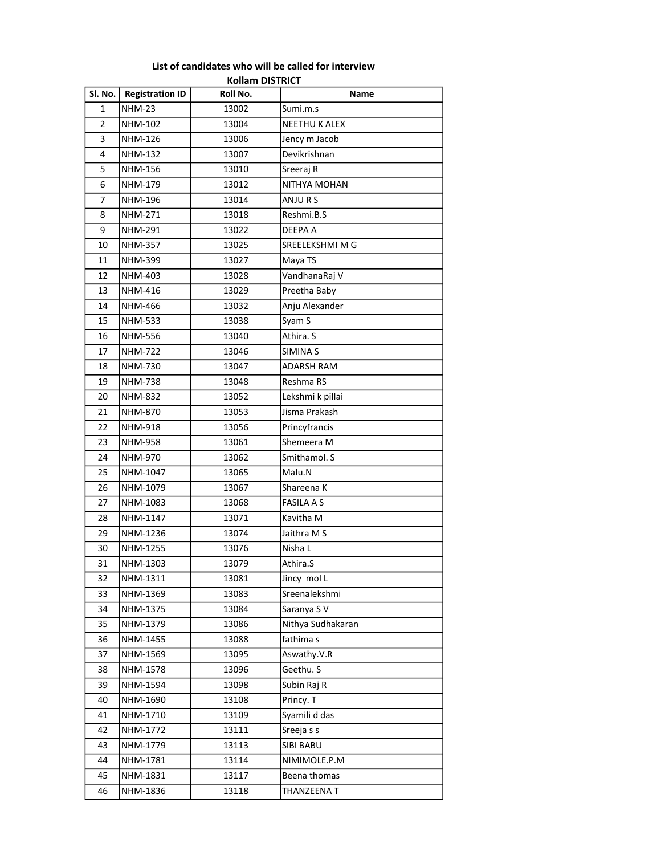|                |                        | KOIIAM DISTRICT |                      |
|----------------|------------------------|-----------------|----------------------|
| Sl. No.        | <b>Registration ID</b> | Roll No.        | Name                 |
| 1              | <b>NHM-23</b>          | 13002           | Sumi.m.s             |
| $\overline{2}$ | NHM-102                | 13004           | <b>NEETHU K ALEX</b> |
| 3              | <b>NHM-126</b>         | 13006           | Jency m Jacob        |
| 4              | NHM-132                | 13007           | Devikrishnan         |
| 5              | NHM-156                | 13010           | Sreeraj R            |
| 6              | NHM-179                | 13012           | NITHYA MOHAN         |
| $\overline{7}$ | NHM-196                | 13014           | ANJURS               |
| 8              | <b>NHM-271</b>         | 13018           | Reshmi.B.S           |
| 9              | <b>NHM-291</b>         | 13022           | DEEPA A              |
| 10             | <b>NHM-357</b>         | 13025           | SREELEKSHMI M G      |
| 11             | <b>NHM-399</b>         | 13027           | Maya TS              |
| 12             | NHM-403                | 13028           | VandhanaRaj V        |
| 13             | <b>NHM-416</b>         | 13029           | Preetha Baby         |
| 14             | <b>NHM-466</b>         | 13032           | Anju Alexander       |
| 15             | NHM-533                | 13038           | Syam S               |
| 16             | <b>NHM-556</b>         | 13040           | Athira. S            |
| 17             | <b>NHM-722</b>         | 13046           | <b>SIMINA S</b>      |
| 18             | NHM-730                | 13047           | <b>ADARSH RAM</b>    |
| 19             | <b>NHM-738</b>         | 13048           | Reshma RS            |
| 20             | <b>NHM-832</b>         | 13052           | Lekshmi k pillai     |
| 21             | NHM-870                | 13053           | Jisma Prakash        |
| 22             | <b>NHM-918</b>         | 13056           | Princyfrancis        |
| 23             | <b>NHM-958</b>         | 13061           | Shemeera M           |
| 24             | NHM-970                | 13062           | Smithamol. S         |
| 25             | NHM-1047               | 13065           | Malu.N               |
| 26             | NHM-1079               | 13067           | Shareena K           |
| 27             | NHM-1083               | 13068           | <b>FASILA A S</b>    |
| 28             | NHM-1147               | 13071           | Kavitha M            |
| 29             | NHM-1236               | 13074           | Jaithra M S          |
| 30             | NHM-1255               | 13076           | Nisha L              |
| 31             | NHM-1303               | 13079           | Athira.S             |
| 32             | NHM-1311               | 13081           | Jincy mol L          |
| 33             | NHM-1369               | 13083           | Sreenalekshmi        |
| 34             | NHM-1375               | 13084           | Saranya SV           |
| 35             | NHM-1379               | 13086           | Nithya Sudhakaran    |
| 36             | NHM-1455               | 13088           | fathima s            |
| 37             | NHM-1569               | 13095           | Aswathy.V.R          |
| 38             | NHM-1578               | 13096           | Geethu. S            |
| 39             | NHM-1594               | 13098           | Subin Raj R          |
| 40             | NHM-1690               | 13108           | Princy. T            |
| 41             | NHM-1710               | 13109           | Syamili d das        |
| 42             | NHM-1772               | 13111           | Sreeja s s           |
| 43             | NHM-1779               | 13113           | SIBI BABU            |
| 44             | NHM-1781               | 13114           | NIMIMOLE.P.M         |
| 45             | NHM-1831               | 13117           | Beena thomas         |
| 46             | NHM-1836               | 13118           | THANZEENA T          |

## List of candidates who will be called for interview Kollam DISTRICT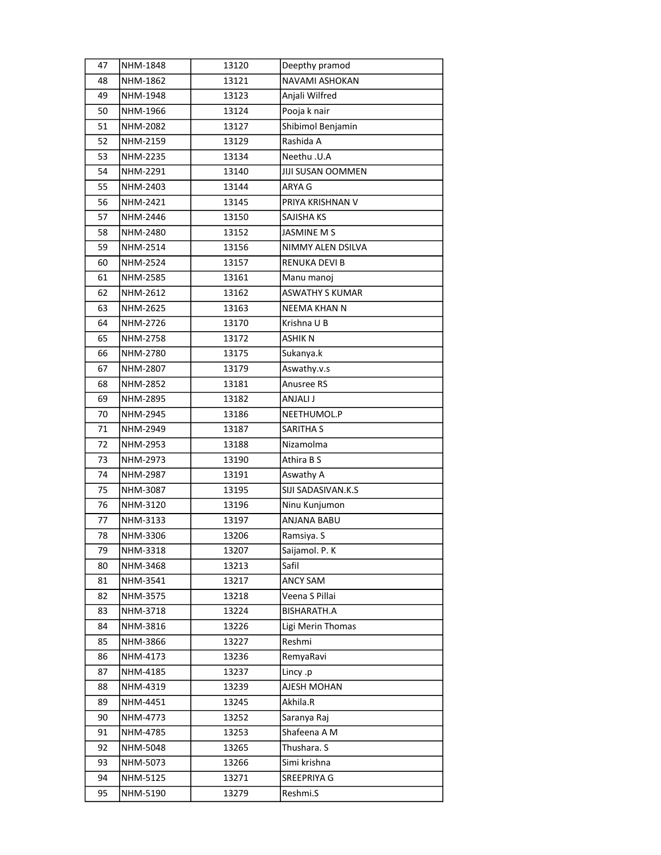| 47 | NHM-1848 | 13120 | Deepthy pramod           |
|----|----------|-------|--------------------------|
| 48 | NHM-1862 | 13121 | NAVAMI ASHOKAN           |
| 49 | NHM-1948 | 13123 | Anjali Wilfred           |
| 50 | NHM-1966 | 13124 | Pooja k nair             |
| 51 | NHM-2082 | 13127 | Shibimol Benjamin        |
| 52 | NHM-2159 | 13129 | Rashida A                |
| 53 | NHM-2235 | 13134 | Neethu .U.A              |
| 54 | NHM-2291 | 13140 | <b>JIJI SUSAN OOMMEN</b> |
| 55 | NHM-2403 | 13144 | ARYA G                   |
| 56 | NHM-2421 | 13145 | PRIYA KRISHNAN V         |
| 57 | NHM-2446 | 13150 | SAJISHA KS               |
| 58 | NHM-2480 | 13152 | <b>JASMINE M S</b>       |
| 59 | NHM-2514 | 13156 | NIMMY ALEN DSILVA        |
| 60 | NHM-2524 | 13157 | RENUKA DEVI B            |
| 61 | NHM-2585 | 13161 | Manu manoj               |
| 62 | NHM-2612 | 13162 | <b>ASWATHY S KUMAR</b>   |
| 63 | NHM-2625 | 13163 | NEEMA KHAN N             |
| 64 | NHM-2726 | 13170 | Krishna U B              |
| 65 | NHM-2758 | 13172 | ASHIK N                  |
| 66 | NHM-2780 | 13175 | Sukanya.k                |
| 67 | NHM-2807 | 13179 | Aswathy.v.s              |
| 68 | NHM-2852 | 13181 | Anusree RS               |
| 69 | NHM-2895 | 13182 | ANJALI J                 |
| 70 | NHM-2945 | 13186 | NEETHUMOL.P              |
| 71 | NHM-2949 | 13187 | <b>SARITHA S</b>         |
| 72 | NHM-2953 | 13188 | Nizamolma                |
| 73 | NHM-2973 | 13190 | Athira B S               |
| 74 | NHM-2987 | 13191 | Aswathy A                |
| 75 | NHM-3087 | 13195 | SIJI SADASIVAN.K.S       |
| 76 | NHM-3120 | 13196 | Ninu Kunjumon            |
| 77 | NHM-3133 | 13197 | <b>ANJANA BABU</b>       |
| 78 | NHM-3306 | 13206 | Ramsiya. S               |
| 79 | NHM-3318 | 13207 | Saijamol. P. K           |
| 80 | NHM-3468 | 13213 | Safil                    |
| 81 | NHM-3541 | 13217 | <b>ANCY SAM</b>          |
| 82 | NHM-3575 | 13218 | Veena S Pillai           |
| 83 | NHM-3718 | 13224 | BISHARATH.A              |
| 84 | NHM-3816 | 13226 | Ligi Merin Thomas        |
| 85 | NHM-3866 | 13227 | Reshmi                   |
| 86 | NHM-4173 | 13236 | RemyaRavi                |
| 87 | NHM-4185 | 13237 | Lincy .p                 |
| 88 | NHM-4319 | 13239 | AJESH MOHAN              |
| 89 | NHM-4451 | 13245 | Akhila.R                 |
| 90 | NHM-4773 | 13252 | Saranya Raj              |
| 91 | NHM-4785 | 13253 | Shafeena A M             |
| 92 | NHM-5048 | 13265 | Thushara. S              |
| 93 | NHM-5073 | 13266 | Simi krishna             |
| 94 | NHM-5125 | 13271 | SREEPRIYA G              |
| 95 | NHM-5190 | 13279 | Reshmi.S                 |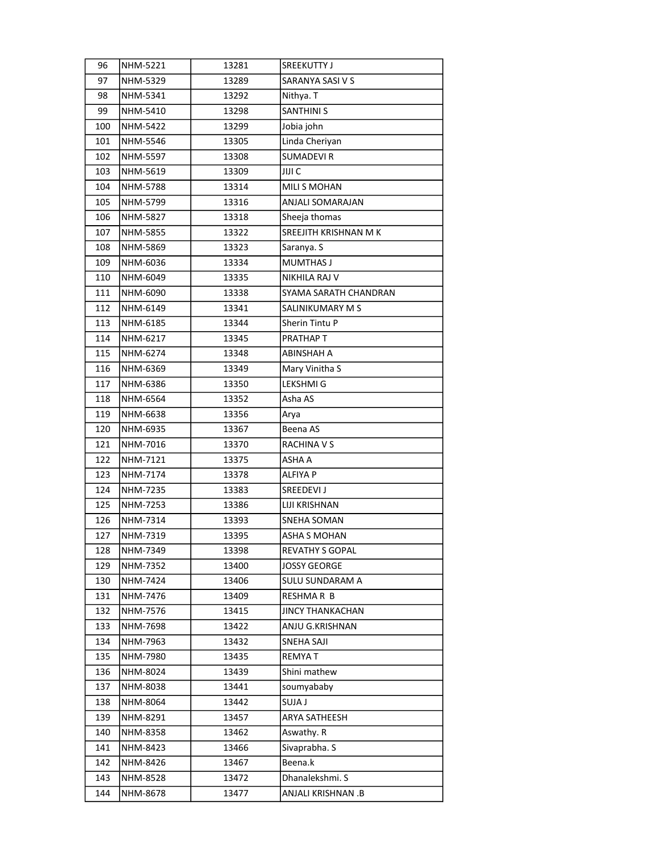| 96  | NHM-5221 | 13281 | SREEKUTTY J             |
|-----|----------|-------|-------------------------|
| 97  | NHM-5329 | 13289 | SARANYA SASI V S        |
| 98  | NHM-5341 | 13292 | Nithya. T               |
| 99  | NHM-5410 | 13298 | <b>SANTHINI S</b>       |
| 100 | NHM-5422 | 13299 | Jobia john              |
| 101 | NHM-5546 | 13305 | Linda Cheriyan          |
| 102 | NHM-5597 | 13308 | <b>SUMADEVIR</b>        |
| 103 | NHM-5619 | 13309 | JIJI C                  |
| 104 | NHM-5788 | 13314 | MILI S MOHAN            |
| 105 | NHM-5799 | 13316 | ANJALI SOMARAJAN        |
| 106 | NHM-5827 | 13318 | Sheeja thomas           |
| 107 | NHM-5855 | 13322 | SREEJITH KRISHNAN M K   |
| 108 | NHM-5869 | 13323 | Saranya. S              |
| 109 | NHM-6036 | 13334 | <b>MUMTHAS J</b>        |
| 110 | NHM-6049 | 13335 | NIKHILA RAJ V           |
| 111 | NHM-6090 | 13338 | SYAMA SARATH CHANDRAN   |
| 112 | NHM-6149 | 13341 | SALINIKUMARY M S        |
| 113 | NHM-6185 | 13344 | Sherin Tintu P          |
| 114 | NHM-6217 | 13345 | PRATHAP T               |
| 115 | NHM-6274 | 13348 | ABINSHAH A              |
| 116 | NHM-6369 | 13349 | Mary Vinitha S          |
| 117 | NHM-6386 | 13350 | LEKSHMI G               |
| 118 | NHM-6564 | 13352 | Asha AS                 |
| 119 | NHM-6638 | 13356 | Arya                    |
| 120 | NHM-6935 | 13367 | Beena AS                |
| 121 | NHM-7016 | 13370 | RACHINA V S             |
| 122 | NHM-7121 | 13375 | ASHA A                  |
| 123 | NHM-7174 | 13378 | ALFIYA P                |
| 124 | NHM-7235 | 13383 | SREEDEVI J              |
| 125 | NHM-7253 | 13386 | LIJI KRISHNAN           |
| 126 | NHM-7314 | 13393 | SNEHA SOMAN             |
| 127 | NHM-7319 | 13395 | ASHA S MOHAN            |
| 128 | NHM-7349 | 13398 | <b>REVATHY S GOPAL</b>  |
| 129 | NHM-7352 | 13400 | JOSSY GEORGE            |
| 130 | NHM-7424 | 13406 | SULU SUNDARAM A         |
| 131 | NHM-7476 | 13409 | RESHMAR B               |
| 132 | NHM-7576 | 13415 | <b>JINCY THANKACHAN</b> |
| 133 | NHM-7698 | 13422 | ANJU G.KRISHNAN         |
| 134 | NHM-7963 | 13432 | SNEHA SAJI              |
| 135 | NHM-7980 | 13435 | <b>REMYAT</b>           |
| 136 | NHM-8024 | 13439 | Shini mathew            |
| 137 | NHM-8038 | 13441 | soumyababy              |
| 138 | NHM-8064 | 13442 | <b>SUJA J</b>           |
| 139 | NHM-8291 | 13457 | ARYA SATHEESH           |
| 140 | NHM-8358 | 13462 | Aswathy. R              |
| 141 | NHM-8423 | 13466 | Sivaprabha. S           |
| 142 | NHM-8426 | 13467 | Beena.k                 |
| 143 | NHM-8528 | 13472 | Dhanalekshmi. S         |
| 144 | NHM-8678 | 13477 | ANJALI KRISHNAN .B      |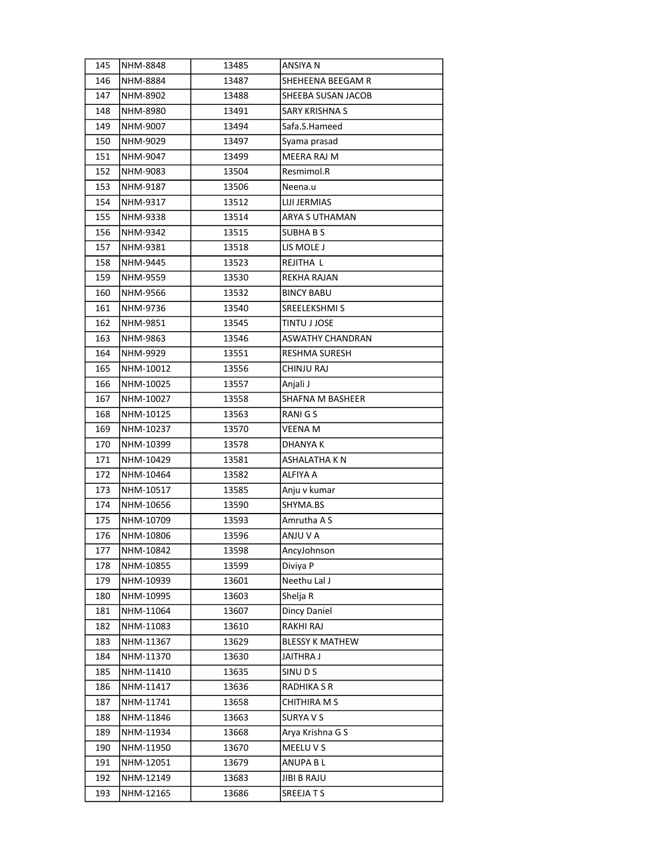| 145 | NHM-8848  | 13485 | ANSIYA N               |
|-----|-----------|-------|------------------------|
| 146 | NHM-8884  | 13487 | SHEHEENA BEEGAM R      |
| 147 | NHM-8902  | 13488 | SHEEBA SUSAN JACOB     |
| 148 | NHM-8980  | 13491 | SARY KRISHNA S         |
| 149 | NHM-9007  | 13494 | Safa.S.Hameed          |
| 150 | NHM-9029  | 13497 | Syama prasad           |
| 151 | NHM-9047  | 13499 | MEERA RAJ M            |
| 152 | NHM-9083  | 13504 | Resmimol.R             |
| 153 | NHM-9187  | 13506 | Neena.u                |
| 154 | NHM-9317  | 13512 | LIJI JERMIAS           |
| 155 | NHM-9338  | 13514 | ARYA S UTHAMAN         |
| 156 | NHM-9342  | 13515 | <b>SUBHABS</b>         |
| 157 | NHM-9381  | 13518 | LIS MOLE J             |
| 158 | NHM-9445  | 13523 | REJITHA L              |
| 159 | NHM-9559  | 13530 | REKHA RAJAN            |
| 160 | NHM-9566  | 13532 | <b>BINCY BABU</b>      |
| 161 | NHM-9736  | 13540 | SREELEKSHMI S          |
| 162 | NHM-9851  | 13545 | TINTU J JOSE           |
| 163 | NHM-9863  | 13546 | ASWATHY CHANDRAN       |
| 164 | NHM-9929  | 13551 | RESHMA SURESH          |
| 165 | NHM-10012 | 13556 | CHINJU RAJ             |
| 166 | NHM-10025 | 13557 | Anjali J               |
| 167 | NHM-10027 | 13558 | SHAFNA M BASHEER       |
| 168 | NHM-10125 | 13563 | RANIGS                 |
| 169 | NHM-10237 | 13570 | VEENA M                |
| 170 | NHM-10399 | 13578 | DHANYA K               |
| 171 | NHM-10429 | 13581 | <b>ASHALATHA K N</b>   |
| 172 | NHM-10464 | 13582 | ALFIYA A               |
| 173 | NHM-10517 | 13585 | Anju v kumar           |
| 174 | NHM-10656 | 13590 | SHYMA.BS               |
| 175 | NHM-10709 | 13593 | Amrutha A S            |
| 176 | NHM-10806 | 13596 | ANJU V A               |
| 177 | NHM-10842 | 13598 | AncyJohnson            |
| 178 | NHM-10855 | 13599 | Diviya P               |
| 179 | NHM-10939 | 13601 | Neethu Lal J           |
| 180 | NHM-10995 | 13603 | Shelja R               |
| 181 | NHM-11064 | 13607 | Dincy Daniel           |
| 182 | NHM-11083 | 13610 | RAKHI RAJ              |
| 183 | NHM-11367 | 13629 | <b>BLESSY K MATHEW</b> |
| 184 | NHM-11370 | 13630 | JAITHRA J              |
| 185 | NHM-11410 | 13635 | SINU D S               |
| 186 | NHM-11417 | 13636 | RADHIKA S R            |
| 187 | NHM-11741 | 13658 | CHITHIRA M S           |
| 188 | NHM-11846 | 13663 | SURYA V S              |
| 189 | NHM-11934 | 13668 | Arya Krishna G S       |
| 190 | NHM-11950 | 13670 | MEELU V S              |
| 191 | NHM-12051 | 13679 | ANUPA BL               |
| 192 | NHM-12149 | 13683 | JIBI B RAJU            |
| 193 | NHM-12165 | 13686 | SREEJATS               |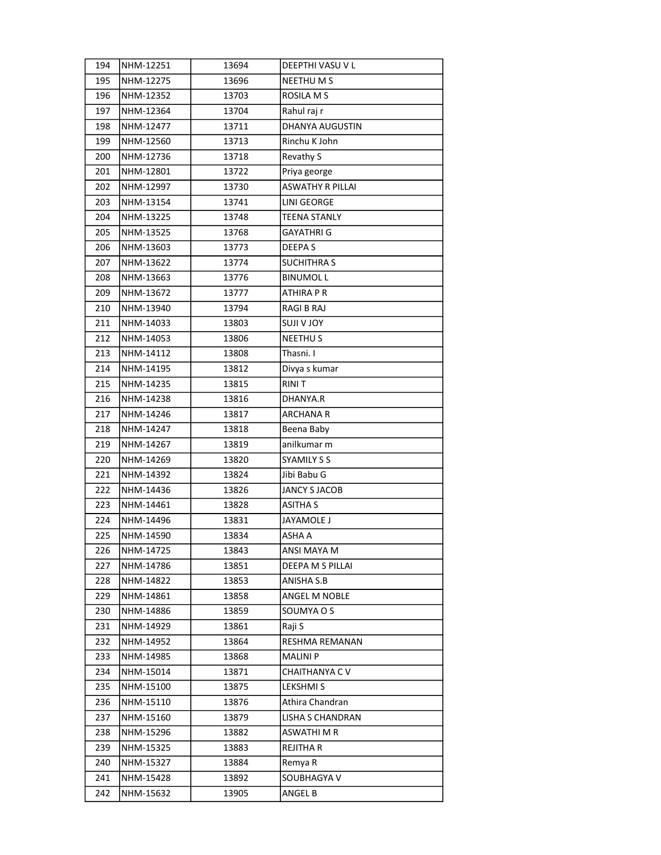| 194 | NHM-12251 | 13694 | DEEPTHI VASU V L        |
|-----|-----------|-------|-------------------------|
| 195 | NHM-12275 | 13696 | <b>NEETHU M S</b>       |
| 196 | NHM-12352 | 13703 | <b>ROSILA M S</b>       |
| 197 | NHM-12364 | 13704 | Rahul raj r             |
| 198 | NHM-12477 | 13711 | <b>DHANYA AUGUSTIN</b>  |
| 199 | NHM-12560 | 13713 | Rinchu K John           |
| 200 | NHM-12736 | 13718 | Revathy S               |
| 201 | NHM-12801 | 13722 | Priya george            |
| 202 | NHM-12997 | 13730 | <b>ASWATHY R PILLAI</b> |
| 203 | NHM-13154 | 13741 | LINI GEORGE             |
| 204 | NHM-13225 | 13748 | <b>TEENA STANLY</b>     |
| 205 | NHM-13525 | 13768 | <b>GAYATHRI G</b>       |
| 206 | NHM-13603 | 13773 | DEEPA S                 |
| 207 | NHM-13622 | 13774 | SUCHITHRA S             |
| 208 | NHM-13663 | 13776 | <b>BINUMOL L</b>        |
| 209 | NHM-13672 | 13777 | ATHIRA P R              |
| 210 | NHM-13940 | 13794 | RAGI B RAJ              |
| 211 | NHM-14033 | 13803 | YOL V ILUZ              |
| 212 | NHM-14053 | 13806 | <b>NEETHUS</b>          |
| 213 | NHM-14112 | 13808 | Thasni. I               |
| 214 | NHM-14195 | 13812 | Divya s kumar           |
| 215 | NHM-14235 | 13815 | RINI T                  |
| 216 | NHM-14238 | 13816 | DHANYA.R                |
| 217 | NHM-14246 | 13817 | <b>ARCHANAR</b>         |
| 218 | NHM-14247 | 13818 | Beena Baby              |
| 219 | NHM-14267 | 13819 | anilkumar m             |
| 220 | NHM-14269 | 13820 | <b>SYAMILY S S</b>      |
| 221 | NHM-14392 | 13824 | Jibi Babu G             |
| 222 | NHM-14436 | 13826 | <b>JANCY S JACOB</b>    |
| 223 | NHM-14461 | 13828 | <b>ASITHA S</b>         |
| 224 | NHM-14496 | 13831 | JAYAMOLE J              |
| 225 | NHM-14590 | 13834 | ASHA A                  |
| 226 | NHM-14725 | 13843 | ANSI MAYA M             |
| 227 | NHM-14786 | 13851 | DEEPA M S PILLAI        |
| 228 | NHM-14822 | 13853 | ANISHA S.B              |
| 229 | NHM-14861 | 13858 | ANGEL M NOBLE           |
| 230 | NHM-14886 | 13859 | SOUMYA O S              |
| 231 | NHM-14929 | 13861 | Raji S                  |
| 232 | NHM-14952 | 13864 | RESHMA REMANAN          |
| 233 | NHM-14985 | 13868 | <b>MALINI P</b>         |
| 234 | NHM-15014 | 13871 | CHAITHANYA CV           |
| 235 | NHM-15100 | 13875 | LEKSHMI S               |
| 236 | NHM-15110 | 13876 | Athira Chandran         |
| 237 | NHM-15160 | 13879 | LISHA S CHANDRAN        |
| 238 | NHM-15296 | 13882 | ASWATHI M R             |
| 239 | NHM-15325 | 13883 | REJITHA R               |
| 240 | NHM-15327 | 13884 | Remya R                 |
| 241 | NHM-15428 | 13892 | SOUBHAGYA V             |
| 242 | NHM-15632 | 13905 | ANGEL B                 |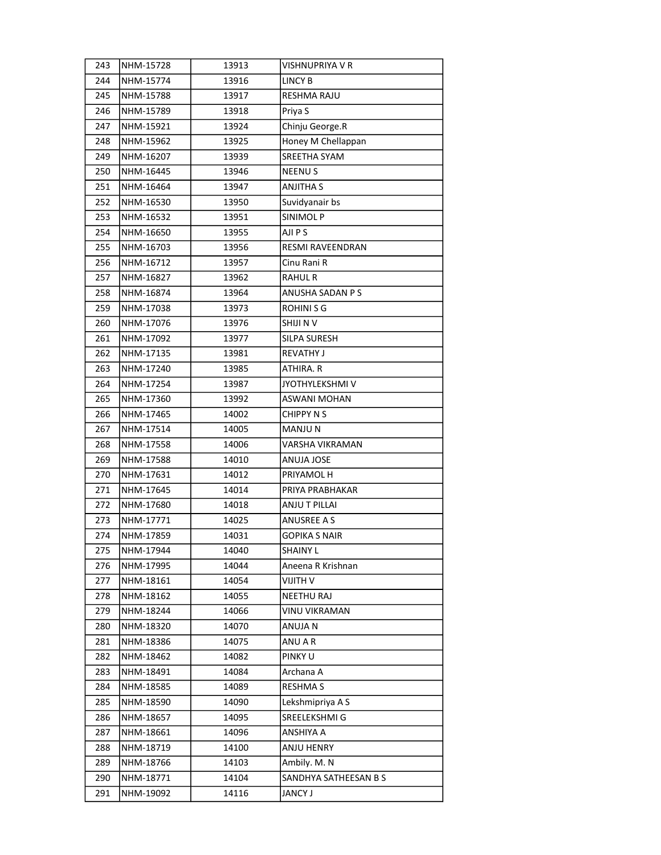| 243 | NHM-15728 | 13913 | VISHNUPRIYA V R       |
|-----|-----------|-------|-----------------------|
| 244 | NHM-15774 | 13916 | <b>LINCY B</b>        |
| 245 | NHM-15788 | 13917 | <b>RESHMA RAJU</b>    |
| 246 | NHM-15789 | 13918 | Priya S               |
| 247 | NHM-15921 | 13924 | Chinju George.R       |
| 248 | NHM-15962 | 13925 | Honey M Chellappan    |
| 249 | NHM-16207 | 13939 | SREETHA SYAM          |
| 250 | NHM-16445 | 13946 | <b>NEENUS</b>         |
| 251 | NHM-16464 | 13947 | <b>ANJITHA S</b>      |
| 252 | NHM-16530 | 13950 | Suvidyanair bs        |
| 253 | NHM-16532 | 13951 | SINIMOL P             |
| 254 | NHM-16650 | 13955 | AJI P S               |
| 255 | NHM-16703 | 13956 | RESMI RAVEENDRAN      |
| 256 | NHM-16712 | 13957 | Cinu Rani R           |
| 257 | NHM-16827 | 13962 | <b>RAHUL R</b>        |
| 258 | NHM-16874 | 13964 | ANUSHA SADAN P S      |
| 259 | NHM-17038 | 13973 | ROHINI S G            |
| 260 | NHM-17076 | 13976 | SHIJI N V             |
| 261 | NHM-17092 | 13977 | SILPA SURESH          |
| 262 | NHM-17135 | 13981 | <b>REVATHY J</b>      |
| 263 | NHM-17240 | 13985 | ATHIRA. R             |
| 264 | NHM-17254 | 13987 | JYOTHYLEKSHMI V       |
| 265 | NHM-17360 | 13992 | <b>ASWANI MOHAN</b>   |
| 266 | NHM-17465 | 14002 | <b>CHIPPY N S</b>     |
| 267 | NHM-17514 | 14005 | MANJU N               |
| 268 | NHM-17558 | 14006 | VARSHA VIKRAMAN       |
| 269 | NHM-17588 | 14010 | ANUJA JOSE            |
| 270 | NHM-17631 | 14012 | PRIYAMOL H            |
| 271 | NHM-17645 | 14014 | PRIYA PRABHAKAR       |
| 272 | NHM-17680 | 14018 | <b>ANJU T PILLAI</b>  |
| 273 | NHM-17771 | 14025 | ANUSREE A S           |
| 274 | NHM-17859 | 14031 | GOPIKA S NAIR         |
| 275 | NHM-17944 | 14040 | <b>SHAINY L</b>       |
| 276 | NHM-17995 | 14044 | Aneena R Krishnan     |
| 277 | NHM-18161 | 14054 | VIJITH V              |
| 278 | NHM-18162 | 14055 | <b>NEETHU RAJ</b>     |
| 279 | NHM-18244 | 14066 | VINU VIKRAMAN         |
| 280 | NHM-18320 | 14070 | ANUJA N               |
| 281 | NHM-18386 | 14075 | ANU A R               |
| 282 | NHM-18462 | 14082 | PINKY U               |
| 283 | NHM-18491 | 14084 | Archana A             |
| 284 | NHM-18585 | 14089 | <b>RESHMAS</b>        |
| 285 | NHM-18590 | 14090 | Lekshmipriya A S      |
| 286 | NHM-18657 | 14095 | SREELEKSHMI G         |
| 287 | NHM-18661 | 14096 | ANSHIYA A             |
| 288 | NHM-18719 | 14100 | ANJU HENRY            |
| 289 | NHM-18766 | 14103 | Ambily. M. N          |
| 290 | NHM-18771 | 14104 | SANDHYA SATHEESAN B S |
| 291 | NHM-19092 | 14116 | <b>JANCY J</b>        |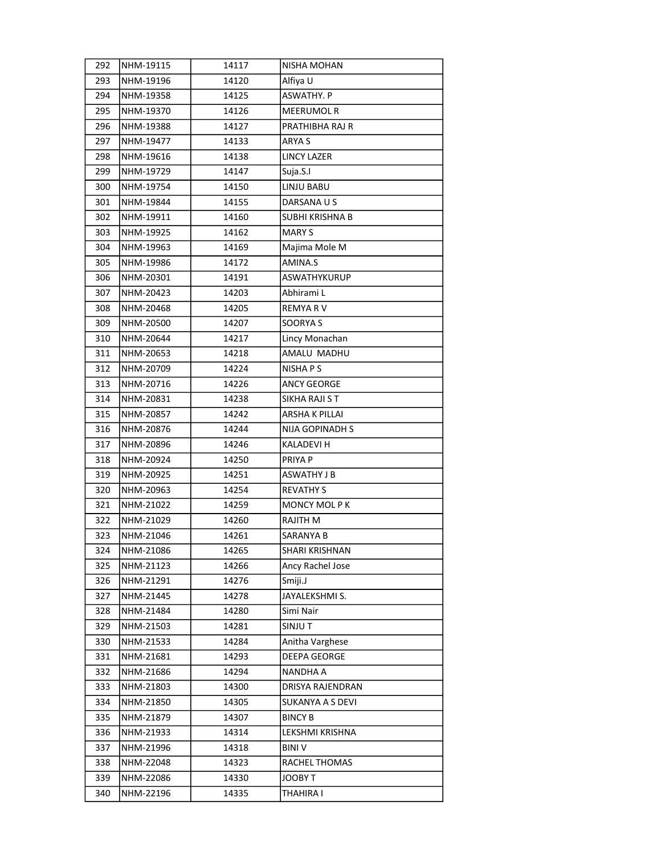| 292 | NHM-19115 | 14117 | NISHA MOHAN            |
|-----|-----------|-------|------------------------|
| 293 | NHM-19196 | 14120 | Alfiya U               |
| 294 | NHM-19358 | 14125 | <b>ASWATHY, P</b>      |
| 295 | NHM-19370 | 14126 | <b>MEERUMOL R</b>      |
| 296 | NHM-19388 | 14127 | PRATHIBHA RAJ R        |
| 297 | NHM-19477 | 14133 | ARYA S                 |
| 298 | NHM-19616 | 14138 | <b>LINCY LAZER</b>     |
| 299 | NHM-19729 | 14147 | Suja.S.I               |
| 300 | NHM-19754 | 14150 | LINJU BABU             |
| 301 | NHM-19844 | 14155 | DARSANA U S            |
| 302 | NHM-19911 | 14160 | <b>SUBHI KRISHNA B</b> |
| 303 | NHM-19925 | 14162 | <b>MARY S</b>          |
| 304 | NHM-19963 | 14169 | Majima Mole M          |
| 305 | NHM-19986 | 14172 | AMINA.S                |
| 306 | NHM-20301 | 14191 | ASWATHYKURUP           |
| 307 | NHM-20423 | 14203 | Abhirami L             |
| 308 | NHM-20468 | 14205 | REMYA R V              |
| 309 | NHM-20500 | 14207 | SOORYA S               |
| 310 | NHM-20644 | 14217 | Lincy Monachan         |
| 311 | NHM-20653 | 14218 | AMALU MADHU            |
| 312 | NHM-20709 | 14224 | NISHA P S              |
| 313 | NHM-20716 | 14226 | ANCY GEORGE            |
| 314 | NHM-20831 | 14238 | SIKHA RAJI S T         |
| 315 | NHM-20857 | 14242 | ARSHA K PILLAI         |
| 316 | NHM-20876 | 14244 | NIJA GOPINADH S        |
| 317 | NHM-20896 | 14246 | KALADEVI H             |
| 318 | NHM-20924 | 14250 | PRIYA P                |
| 319 | NHM-20925 | 14251 | ASWATHY J B            |
| 320 | NHM-20963 | 14254 | <b>REVATHY S</b>       |
| 321 | NHM-21022 | 14259 | <b>MONCY MOL PK</b>    |
| 322 | NHM-21029 | 14260 | RAJITH M               |
| 323 | NHM-21046 | 14261 | SARANYA B              |
| 324 | NHM-21086 | 14265 | SHARI KRISHNAN         |
| 325 | NHM-21123 | 14266 | Ancy Rachel Jose       |
| 326 | NHM-21291 | 14276 | Smiji.J                |
| 327 | NHM-21445 | 14278 | JAYALEKSHMI S.         |
| 328 | NHM-21484 | 14280 | Simi Nair              |
| 329 | NHM-21503 | 14281 | SINJUT                 |
| 330 | NHM-21533 | 14284 | Anitha Varghese        |
| 331 | NHM-21681 | 14293 | <b>DEEPA GEORGE</b>    |
| 332 | NHM-21686 | 14294 | NANDHA A               |
| 333 | NHM-21803 | 14300 | DRISYA RAJENDRAN       |
| 334 | NHM-21850 | 14305 | SUKANYA A S DEVI       |
| 335 | NHM-21879 | 14307 | <b>BINCY B</b>         |
| 336 | NHM-21933 | 14314 | LEKSHMI KRISHNA        |
| 337 | NHM-21996 | 14318 | <b>BINI</b> V          |
| 338 | NHM-22048 | 14323 | RACHEL THOMAS          |
| 339 | NHM-22086 | 14330 | JOOBY T                |
| 340 | NHM-22196 | 14335 | THAHIRA I              |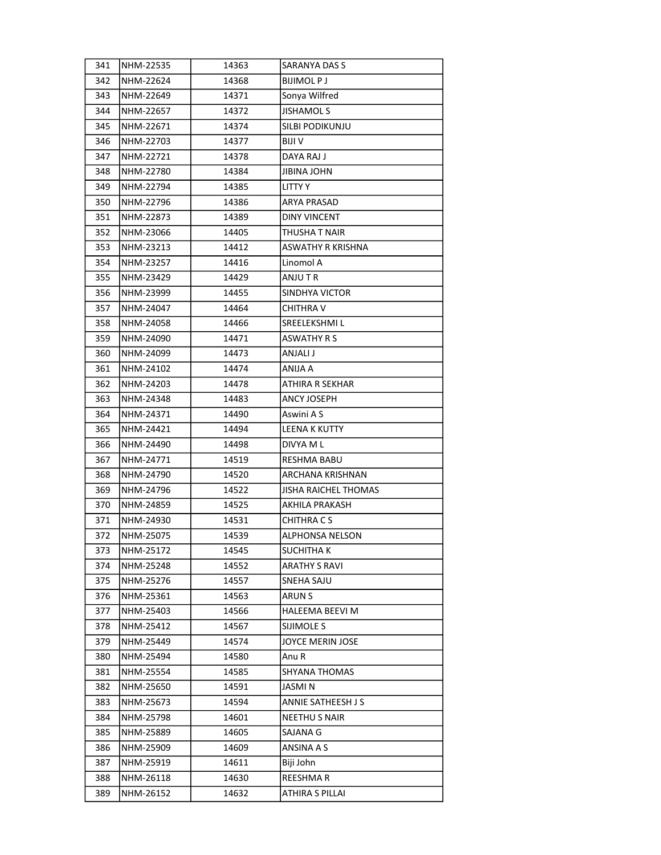| 341 | NHM-22535 | 14363 | SARANYA DAS S               |
|-----|-----------|-------|-----------------------------|
| 342 | NHM-22624 | 14368 | <b>BIJIMOLPJ</b>            |
| 343 | NHM-22649 | 14371 | Sonya Wilfred               |
| 344 | NHM-22657 | 14372 | <b>JISHAMOL S</b>           |
| 345 | NHM-22671 | 14374 | SILBI PODIKUNJU             |
| 346 | NHM-22703 | 14377 | BIJI V                      |
| 347 | NHM-22721 | 14378 | DAYA RAJ J                  |
| 348 | NHM-22780 | 14384 | JIBINA JOHN                 |
| 349 | NHM-22794 | 14385 | LITTY Y                     |
| 350 | NHM-22796 | 14386 | ARYA PRASAD                 |
| 351 | NHM-22873 | 14389 | DINY VINCENT                |
| 352 | NHM-23066 | 14405 | THUSHA T NAIR               |
| 353 | NHM-23213 | 14412 | ASWATHY R KRISHNA           |
| 354 | NHM-23257 | 14416 | Linomol A                   |
| 355 | NHM-23429 | 14429 | ANJU T R                    |
| 356 | NHM-23999 | 14455 | SINDHYA VICTOR              |
| 357 | NHM-24047 | 14464 | CHITHRA V                   |
| 358 | NHM-24058 | 14466 | SREELEKSHMIL                |
| 359 | NHM-24090 | 14471 | ASWATHY R S                 |
| 360 | NHM-24099 | 14473 | ANJALI J                    |
| 361 | NHM-24102 | 14474 | ANIJA A                     |
| 362 | NHM-24203 | 14478 | ATHIRA R SEKHAR             |
| 363 | NHM-24348 | 14483 | ANCY JOSEPH                 |
| 364 | NHM-24371 | 14490 | Aswini A S                  |
| 365 | NHM-24421 | 14494 | LEENA K KUTTY               |
| 366 | NHM-24490 | 14498 | DIVYA M L                   |
| 367 | NHM-24771 | 14519 | <b>RESHMA BABU</b>          |
| 368 | NHM-24790 | 14520 | ARCHANA KRISHNAN            |
| 369 | NHM-24796 | 14522 | <b>JISHA RAICHEL THOMAS</b> |
| 370 | NHM-24859 | 14525 | AKHILA PRAKASH              |
| 371 | NHM-24930 | 14531 | CHITHRA C S                 |
| 372 | NHM-25075 | 14539 | ALPHONSA NELSON             |
| 373 | NHM-25172 | 14545 | <b>SUCHITHAK</b>            |
| 374 | NHM-25248 | 14552 | <b>ARATHY S RAVI</b>        |
| 375 | NHM-25276 | 14557 | SNEHA SAJU                  |
| 376 | NHM-25361 | 14563 | ARUN S                      |
| 377 | NHM-25403 | 14566 | HALEEMA BEEVI M             |
| 378 | NHM-25412 | 14567 | SIJIMOLE S                  |
| 379 | NHM-25449 | 14574 | JOYCE MERIN JOSE            |
| 380 | NHM-25494 | 14580 | Anu R                       |
| 381 | NHM-25554 | 14585 | SHYANA THOMAS               |
| 382 | NHM-25650 | 14591 | JASMI N                     |
| 383 | NHM-25673 | 14594 | ANNIE SATHEESH J S          |
| 384 | NHM-25798 | 14601 | <b>NEETHU S NAIR</b>        |
| 385 | NHM-25889 | 14605 | SAJANA G                    |
| 386 | NHM-25909 | 14609 | ANSINA A S                  |
| 387 | NHM-25919 | 14611 | Biji John                   |
| 388 | NHM-26118 | 14630 | REESHMA R                   |
| 389 | NHM-26152 | 14632 | ATHIRA S PILLAI             |